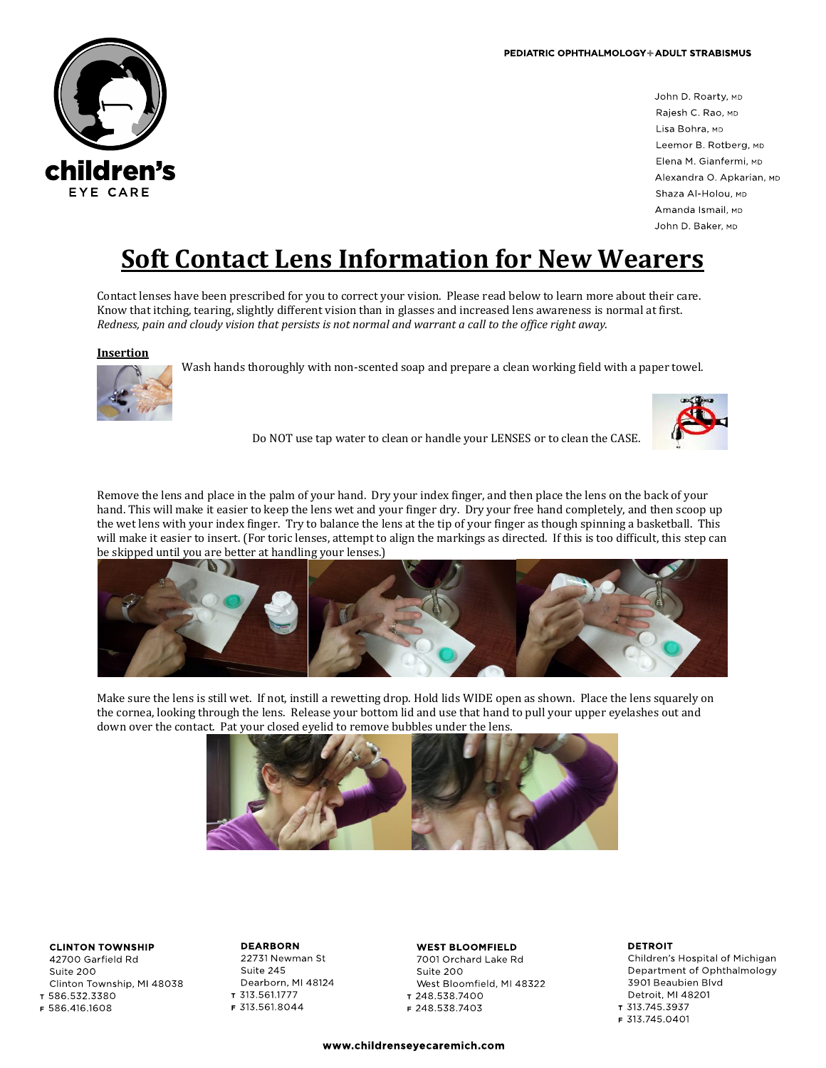

John D. Roarty, MD Rajesh C. Rao, MD Lisa Bohra, MD Leemor B. Rotberg, MD Elena M. Gianfermi, MD Alexandra O. Apkarian, MD Shaza Al-Holou, MD Amanda Ismail, MD John D. Baker, MD

# **Soft Contact Lens Information for New Wearers**

Contact lenses have been prescribed for you to correct your vision. Please read below to learn more about their care. Know that itching, tearing, slightly different vision than in glasses and increased lens awareness is normal at first. *Redness, pain and cloudy vision that persists is not normal and warrant a call to the office right away.*

## **Insertion**



Wash hands thoroughly with non-scented soap and prepare a clean working field with a paper towel.



Do NOT use tap water to clean or handle your LENSES or to clean the CASE.

Remove the lens and place in the palm of your hand. Dry your index finger, and then place the lens on the back of your hand. This will make it easier to keep the lens wet and your finger dry. Dry your free hand completely, and then scoop up the wet lens with your index finger. Try to balance the lens at the tip of your finger as though spinning a basketball. This will make it easier to insert. (For toric lenses, attempt to align the markings as directed. If this is too difficult, this step can be skipped until you are better at handling your lenses.)



Make sure the lens is still wet. If not, instill a rewetting drop. Hold lids WIDE open as shown. Place the lens squarely on the cornea, looking through the lens. Release your bottom lid and use that hand to pull your upper eyelashes out and down over the contact. Pat your closed eyelid to remove bubbles under the lens.



# **CLINTON TOWNSHIP**

42700 Garfield Rd Suite 200 Clinton Township, MI 48038 т 586 532 3380

F 586 416 1608

**DEARBORN** 22731 Newman St Suite 245 Dearborn, MI 48124 T 313 561 1777 F 313 561 8044

## **WEST BLOOMFIELD**

7001 Orchard Lake Rd Suite 200 West Bloomfield, MI 48322 T 248.538.7400 F 248 538 7403

#### **DETROIT**

Children's Hospital of Michigan Department of Ophthalmology 3901 Beaubien Blvd Detroit, MI 48201 T 313 745 3937 F 313 745 0401

www.childrenseyecaremich.com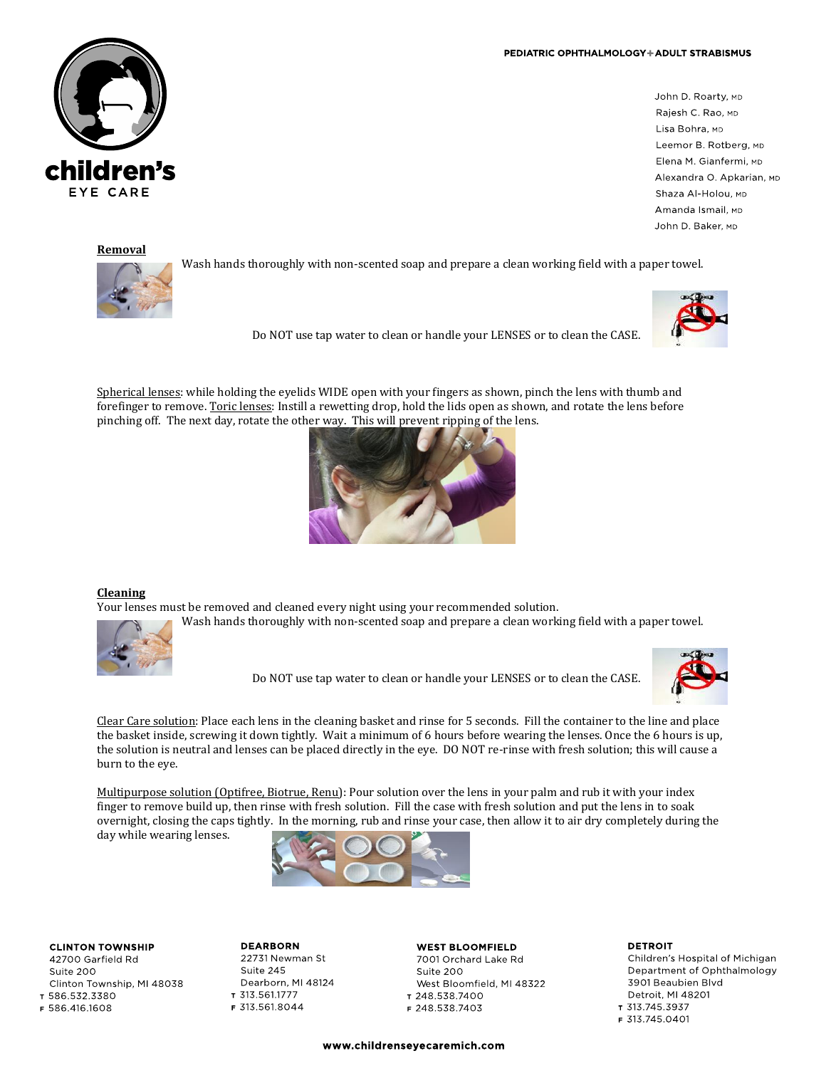#### PEDIATRIC OPHTHALMOLOGY+ADULT STRABISMUS



## **Removal**

hildren's

EYE CARE



Wash hands thoroughly with non-scented soap and prepare a clean working field with a paper towel.



Do NOT use tap water to clean or handle your LENSES or to clean the CASE.

Spherical lenses: while holding the eyelids WIDE open with your fingers as shown, pinch the lens with thumb and forefinger to remove. Toric lenses: Instill a rewetting drop, hold the lids open as shown, and rotate the lens before pinching off. The next day, rotate the other way. This will prevent ripping of the lens.



## **Cleaning**

Your lenses must be removed and cleaned every night using your recommended solution. Wash hands thoroughly with non-scented soap and prepare a clean working field with a paper towel.



Do NOT use tap water to clean or handle your LENSES or to clean the CASE.



Clear Care solution: Place each lens in the cleaning basket and rinse for 5 seconds. Fill the container to the line and place the basket inside, screwing it down tightly. Wait a minimum of 6 hours before wearing the lenses. Once the 6 hours is up, the solution is neutral and lenses can be placed directly in the eye. DO NOT re-rinse with fresh solution; this will cause a burn to the eye.

Multipurpose solution (Optifree, Biotrue, Renu): Pour solution over the lens in your palm and rub it with your index finger to remove build up, then rinse with fresh solution. Fill the case with fresh solution and put the lens in to soak overnight, closing the caps tightly. In the morning, rub and rinse your case, then allow it to air dry completely during the day while wearing lenses.



**CLINTON TOWNSHIP** 42700 Garfield Rd

Suite 200 Clinton Township, MI 48038 T 586 532 3380

F 586 416 1608

**DEARBORN** 22731 Newman St Suite 245 Dearborn, MI 48124 T 313.561.1777 F 313 561 8044

**WEST BLOOMFIELD** 7001 Orchard Lake Rd Suite 200 West Bloomfield, MI 48322 T 248.538.7400 F 248 538 7403

**DETROIT** Children's Hospital of Michigan Department of Ophthalmology 3901 Beaubien Blvd Detroit, MI 48201 T 313 745 3937 F 313 745 0401